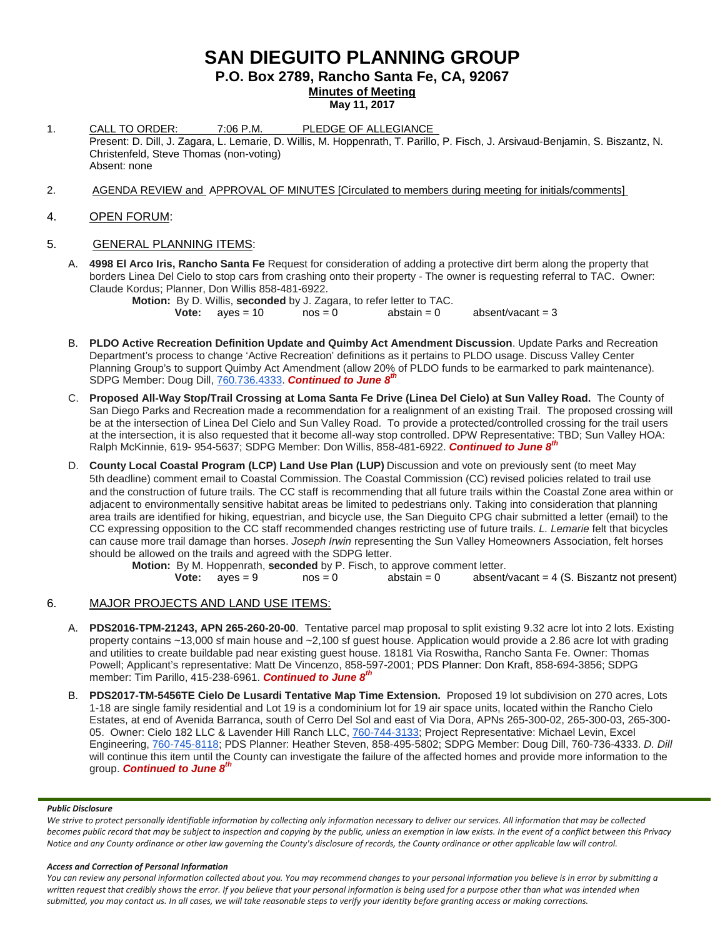# **SAN DIEGUITO PLANNING GROUP**

**P.O. Box 2789, Rancho Santa Fe, CA, 92067**

**Minutes of Meeting**

**May 11, 2017**

- 1. CALL TO ORDER: 7:06 P.M. PLEDGE OF ALLEGIANCE Present: D. Dill, J. Zagara, L. Lemarie, D. Willis, M. Hoppenrath, T. Parillo, P. Fisch, J. Arsivaud-Benjamin, S. Biszantz, N. Christenfeld, Steve Thomas (non-voting) Absent: none
- 2. AGENDA REVIEW and APPROVAL OF MINUTES [Circulated to members during meeting for initials/comments]

# 4. OPEN FORUM:

# 5. GENERAL PLANNING ITEMS:

A. **4998 El Arco Iris, Rancho Santa Fe** Request for consideration of adding a protective dirt berm along the property that borders Linea Del Cielo to stop cars from crashing onto their property - The owner is requesting referral to TAC. Owner: Claude Kordus; Planner, Don Willis [858-481-6922.](tel:(858)%20481-6922)

**Motion:** By D. Willis, **seconded** by J. Zagara, to refer letter to TAC.<br>**Vote:** aves = 10 nos = 0 abstain = 0

**Vote:**  $ayes = 10$   $nos = 0$  abstain  $= 0$  absent/vacant  $= 3$ 

- B. **PLDO Active Recreation Definition Update and Quimby Act Amendment Discussion**. Update Parks and Recreation Department's process to change 'Active Recreation' definitions as it pertains to PLDO usage. Discuss Valley Center Planning Group's to support Quimby Act Amendment (allow 20% of PLDO funds to be earmarked to park maintenance). SDPG Member: Doug Dill, [760.736.4333.](tel:(760)%20736-4333) *Continued to June 8th*
- C. **Proposed All-Way Stop/Trail Crossing at Loma Santa Fe Drive (Linea Del Cielo) at Sun Valley Road.** The County of San Diego Parks and Recreation made a recommendation for a realignment of an existing Trail. The proposed crossing will be at the intersection of Linea Del Cielo and Sun Valley Road. To provide a protected/controlled crossing for the trail users at the intersection, it is also requested that it become all-way stop controlled. DPW Representative: TBD; Sun Valley HOA: Ralph McKinnie, 619- [954-5637;](tel:(619)%20954-5637) SDPG Member: Don Willis, [858-481-6922.](tel:(858)%20481-6922) *Continued to June 8th*
- D. **County Local Coastal Program (LCP) Land Use Plan (LUP)** Discussion and vote on previously sent (to meet May 5th deadline) comment email to Coastal Commission. The Coastal Commission (CC) revised policies related to trail use and the construction of future trails. The CC staff is recommending that all future trails within the Coastal Zone area within or adjacent to environmentally sensitive habitat areas be limited to pedestrians only. Taking into consideration that planning area trails are identified for hiking, equestrian, and bicycle use, the San Dieguito CPG chair submitted a letter (email) to the CC expressing opposition to the CC staff recommended changes restricting use of future trails. *L. Lemarie* felt that bicycles can cause more trail damage than horses. *Joseph Irwin* representing the Sun Valley Homeowners Association, felt horses should be allowed on the trails and agreed with the SDPG letter.

**Motion:** By M. Hoppenrath, **seconded** by P. Fisch, to approve comment letter.<br>**Vote:** ayes = 9 nos = 0 abstain = 0 absent/ absent/vacant = 4 (S. Biszantz not present)

# 6. MAJOR PROJECTS AND LAND USE ITEMS:

- A. **PDS2016-TPM-21243, APN 265-260-20-00**. Tentative parcel map proposal to split existing 9.32 acre lot into 2 lots. Existing property contains ~13,000 sf main house and ~2,100 sf guest house. Application would provide a 2.86 acre lot with grading and utilities to create buildable pad near existing guest house. 18181 Via Roswitha, Rancho Santa Fe. Owner: Thomas Powell; Applicant's representative: Matt De Vincenzo, 858-597-2001; PDS Planner: Don Kraft, 858-694-3856; SDPG member: Tim Parillo, [415-238-6961.](tel:415-238-6961) *Continued to June 8th*
- B. **PDS2017-TM-5456TE Cielo De Lusardi Tentative Map Time Extension.** Proposed 19 lot subdivision on 270 acres, Lots 1-18 are single family residential and Lot 19 is a condominium lot for 19 air space units, located within the Rancho Cielo Estates, at end of Avenida Barranca, south of Cerro Del Sol and east of Via Dora, APNs 265-300-02, 265-300-03, 265-300- 05. Owner: Cielo 182 LLC & Lavender Hill Ranch LLC, [760-744-3133;](tel:(760)%20744-3133) Project Representative: Michael Levin, Excel Engineering, [760-745-8118;](tel:(760)%20745-8118) PDS Planner: Heather Steven, [858-495-5802;](tel:(858)%20495-5802) SDPG Member: Doug Dill, [760-736-4333.](tel:(760)%20736-4333) *D. Dill* will continue this item until the County can investigate the failure of the affected homes and provide more information to the group. *Continued to June 8th*

### *Public Disclosure*

*We strive to protect personally identifiable information by collecting only information necessary to deliver our services. All information that may be collected becomes public record that may be subject to inspection and copying by the public, unless an exemption in law exists. In the event of a conflict between this Privacy Notice and any County ordinance or other law governing the County's disclosure of records, the County ordinance or other applicable law will control.*

### *Access and Correction of Personal Information*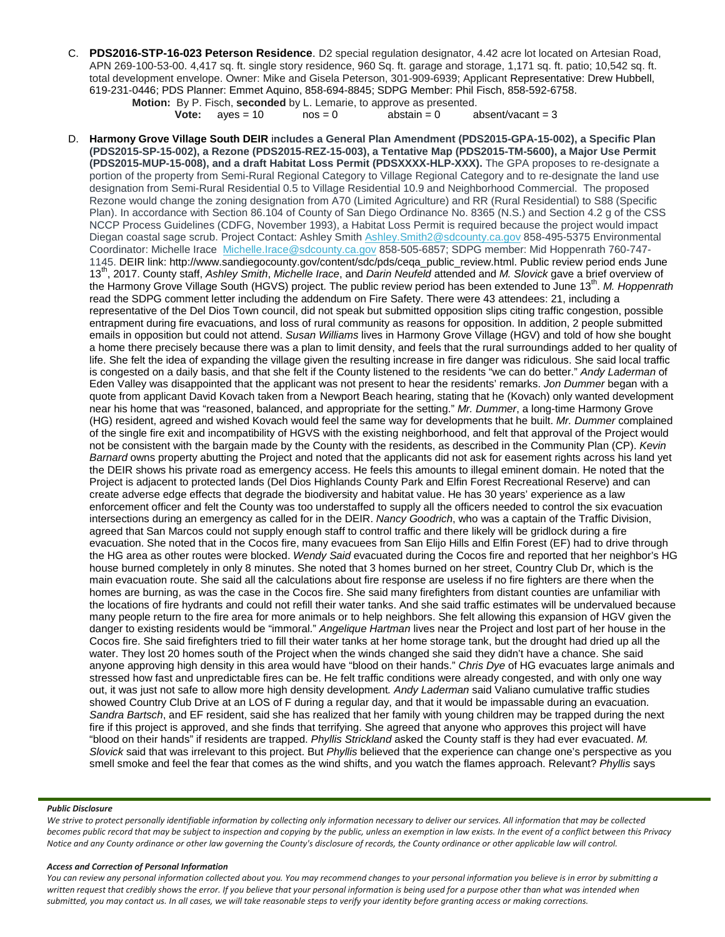C. **PDS2016-STP-16-023 Peterson Residence**. D2 special regulation designator, 4.42 acre lot located on Artesian Road, APN 269-100-53-00. 4,417 sq. ft. single story residence, 960 Sq. ft. garage and storage, 1,171 sq. ft. patio; 10,542 sq. ft. total development envelope. Owner: Mike and Gisela Peterson, 301-909-6939; Applicant Representative: Drew Hubbell, 619-231-0446; PDS Planner: Emmet Aquino, 858-694-8845; SDPG Member: Phil Fisch, 858-592-6758.

**Motion:** By P. Fisch, **seconded** by L. Lemarie, to approve as presented. **Vote:**  $a$  ves = 10  $a$  nos = 0  $a$  abstain = 0  $a$  absent/vacant = 3

D. **Harmony Grove Village South DEIR** i**ncludes a General Plan Amendment (PDS2015-GPA-15-002), a Specific Plan (PDS2015-SP-15-002), a Rezone (PDS2015-REZ-15-003), a Tentative Map (PDS2015-TM-5600), a Major Use Permit (PDS2015-MUP-15-008), and a draft Habitat Loss Permit (PDSXXXX-HLP-XXX).** The GPA proposes to re-designate a portion of the property from Semi-Rural Regional Category to Village Regional Category and to re-designate the land use designation from Semi-Rural Residential 0.5 to Village Residential 10.9 and Neighborhood Commercial. The proposed Rezone would change the zoning designation from A70 (Limited Agriculture) and RR (Rural Residential) to S88 (Specific Plan). In accordance with Section 86.104 of County of San Diego Ordinance No. 8365 (N.S.) and Section 4.2 g of the CSS NCCP Process Guidelines (CDFG, November 1993), a Habitat Loss Permit is required because the project would impact Diegan coastal sage scrub. Project Contact: Ashley Smith [Ashley.Smith2@sdcounty.ca.gov](mailto:Ashley.Smith2@sdcounty.ca.gov?subject=Harmony%20Grove%20Village%20South) 858-495-5375 Environmental Coordinator: Michelle Irace [Michelle.Irace@sdcounty.ca.gov](http://Michelle.Irace@sdcounty.ca.gov/) 858-505-6857; SDPG member: Mid Hoppenrath 760-747- 1145. DEIR link: [http://www.sandiegocounty.gov/content/sdc/pds/ceqa\\_public\\_review.html.](http://www.sandiegocounty.gov/content/sdc/pds/ceqa_public_review.html) Public review period ends June 13th, 2017. County staff, *Ashley Smith*, *Michelle Irace*, and *Darin Neufeld* attended and *M. Slovick* gave a brief overview of the Harmony Grove Village South (HGVS) project. The public review period has been extended to June 13<sup>th</sup>. *M. Hoppenrath* read the SDPG comment letter including the addendum on Fire Safety. There were 43 attendees: 21, including a representative of the Del Dios Town council, did not speak but submitted opposition slips citing traffic congestion, possible entrapment during fire evacuations, and loss of rural community as reasons for opposition. In addition, 2 people submitted emails in opposition but could not attend. *Susan Williams* lives in Harmony Grove Village (HGV) and told of how she bought a home there precisely because there was a plan to limit density, and feels that the rural surroundings added to her quality of life. She felt the idea of expanding the village given the resulting increase in fire danger was ridiculous. She said local traffic is congested on a daily basis, and that she felt if the County listened to the residents "we can do better." *Andy Laderman* of Eden Valley was disappointed that the applicant was not present to hear the residents' remarks. *Jon Dummer* began with a quote from applicant David Kovach taken from a Newport Beach hearing, stating that he (Kovach) only wanted development near his home that was "reasoned, balanced, and appropriate for the setting." *Mr. Dummer*, a long-time Harmony Grove (HG) resident, agreed and wished Kovach would feel the same way for developments that he built. *Mr. Dummer* complained of the single fire exit and incompatibility of HGVS with the existing neighborhood, and felt that approval of the Project would not be consistent with the bargain made by the County with the residents, as described in the Community Plan (CP). *Kevin Barnard* owns property abutting the Project and noted that the applicants did not ask for easement rights across his land yet the DEIR shows his private road as emergency access. He feels this amounts to illegal eminent domain. He noted that the Project is adjacent to protected lands (Del Dios Highlands County Park and Elfin Forest Recreational Reserve) and can create adverse edge effects that degrade the biodiversity and habitat value. He has 30 years' experience as a law enforcement officer and felt the County was too understaffed to supply all the officers needed to control the six evacuation intersections during an emergency as called for in the DEIR. *Nancy Goodrich*, who was a captain of the Traffic Division, agreed that San Marcos could not supply enough staff to control traffic and there likely will be gridlock during a fire evacuation. She noted that in the Cocos fire, many evacuees from San Elijo Hills and Elfin Forest (EF) had to drive through the HG area as other routes were blocked. *Wendy Said* evacuated during the Cocos fire and reported that her neighbor's HG house burned completely in only 8 minutes. She noted that 3 homes burned on her street, Country Club Dr, which is the main evacuation route. She said all the calculations about fire response are useless if no fire fighters are there when the homes are burning, as was the case in the Cocos fire. She said many firefighters from distant counties are unfamiliar with the locations of fire hydrants and could not refill their water tanks. And she said traffic estimates will be undervalued because many people return to the fire area for more animals or to help neighbors. She felt allowing this expansion of HGV given the danger to existing residents would be "immoral." *Angelique Hartman* lives near the Project and lost part of her house in the Cocos fire. She said firefighters tried to fill their water tanks at her home storage tank, but the drought had dried up all the water. They lost 20 homes south of the Project when the winds changed she said they didn't have a chance. She said anyone approving high density in this area would have "blood on their hands." *Chris Dye* of HG evacuates large animals and stressed how fast and unpredictable fires can be. He felt traffic conditions were already congested, and with only one way out, it was just not safe to allow more high density development*. Andy Laderman* said Valiano cumulative traffic studies showed Country Club Drive at an LOS of F during a regular day, and that it would be impassable during an evacuation. *Sandra Bartsch*, and EF resident, said she has realized that her family with young children may be trapped during the next fire if this project is approved, and she finds that terrifying. She agreed that anyone who approves this project will have "blood on their hands" if residents are trapped. *Phyllis Strickland* asked the County staff is they had ever evacuated. *M. Slovick* said that was irrelevant to this project. But *Phyllis* believed that the experience can change one's perspective as you smell smoke and feel the fear that comes as the wind shifts, and you watch the flames approach. Relevant? *Phyllis* says

#### *Public Disclosure*

*We strive to protect personally identifiable information by collecting only information necessary to deliver our services. All information that may be collected becomes public record that may be subject to inspection and copying by the public, unless an exemption in law exists. In the event of a conflict between this Privacy Notice and any County ordinance or other law governing the County's disclosure of records, the County ordinance or other applicable law will control.*

### *Access and Correction of Personal Information*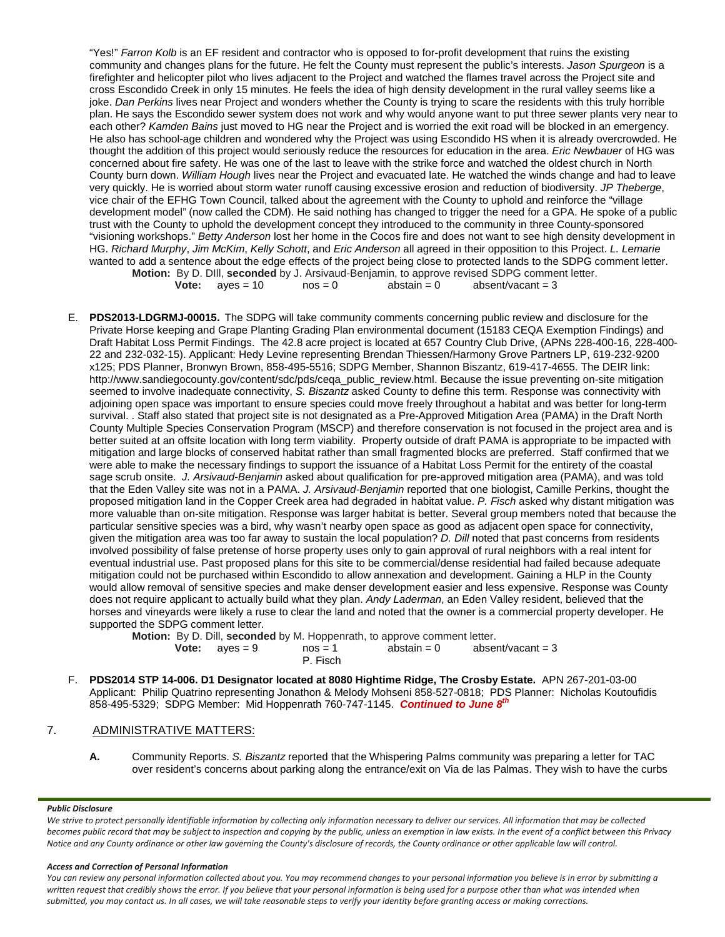"Yes!" *Farron Kolb* is an EF resident and contractor who is opposed to for-profit development that ruins the existing community and changes plans for the future. He felt the County must represent the public's interests. *Jason Spurgeon* is a firefighter and helicopter pilot who lives adjacent to the Project and watched the flames travel across the Project site and cross Escondido Creek in only 15 minutes. He feels the idea of high density development in the rural valley seems like a joke. *Dan Perkins* lives near Project and wonders whether the County is trying to scare the residents with this truly horrible plan. He says the Escondido sewer system does not work and why would anyone want to put three sewer plants very near to each other? *Kamden Bains* just moved to HG near the Project and is worried the exit road will be blocked in an emergency. He also has school-age children and wondered why the Project was using Escondido HS when it is already overcrowded. He thought the addition of this project would seriously reduce the resources for education in the area. *Eric Newbauer* of HG was concerned about fire safety. He was one of the last to leave with the strike force and watched the oldest church in North County burn down. *William Hough* lives near the Project and evacuated late. He watched the winds change and had to leave very quickly. He is worried about storm water runoff causing excessive erosion and reduction of biodiversity. *JP Theberge*, vice chair of the EFHG Town Council, talked about the agreement with the County to uphold and reinforce the "village development model" (now called the CDM). He said nothing has changed to trigger the need for a GPA. He spoke of a public trust with the County to uphold the development concept they introduced to the community in three County-sponsored "visioning workshops." *Betty Anderson* lost her home in the Cocos fire and does not want to see high density development in HG. *Richard Murphy*, *Jim McKim*, *Kelly Schott*, and *Eric Anderson* all agreed in their opposition to this Project. *L. Lemarie* wanted to add a sentence about the edge effects of the project being close to protected lands to the SDPG comment letter. **Motion:** By D. DIll, **seconded** by J. Arsivaud-Benjamin, to approve revised SDPG comment letter.

**Vote:**  $ayes = 10$   $nos = 0$   $abstain = 0$   $absent/vacant = 3$ 

E. **PDS2013-LDGRMJ-00015.** The SDPG will take community comments concerning public review and disclosure for the Private Horse keeping and Grape Planting Grading Plan environmental document (15183 CEQA Exemption Findings) and Draft Habitat Loss Permit Findings. The 42.8 acre project is located at 657 Country Club Drive, (APNs 228-400-16, 228-400- 22 and 232-032-15). Applicant: Hedy Levine representing Brendan Thiessen/Harmony Grove Partners LP, [619-232-9200](tel:(619)%20232-9200)  [x125;](tel:(619)%20232-9200) PDS Planner, Bronwyn Brown, [858-495-5516;](tel:(858)%20495-5516) SDPG Member, Shannon Biszantz, [619-417-4655.](tel:(619)%20417-4655) The DEIR link: [http://www.sandiegocounty.gov/content/sdc/pds/ceqa\\_public\\_review.html.](http://www.sandiegocounty.gov/content/sdc/pds/ceqa_public_review.html) Because the issue preventing on-site mitigation seemed to involve inadequate connectivity, *S. Biszantz* asked County to define this term. Response was connectivity with adjoining open space was important to ensure species could move freely throughout a habitat and was better for long-term survival. . Staff also stated that project site is not designated as a Pre-Approved Mitigation Area (PAMA) in the Draft North County Multiple Species Conservation Program (MSCP) and therefore conservation is not focused in the project area and is better suited at an offsite location with long term viability. Property outside of draft PAMA is appropriate to be impacted with mitigation and large blocks of conserved habitat rather than small fragmented blocks are preferred. Staff confirmed that we were able to make the necessary findings to support the issuance of a Habitat Loss Permit for the entirety of the coastal sage scrub onsite. *J. Arsivaud-Benjamin* asked about qualification for pre-approved mitigation area (PAMA), and was told that the Eden Valley site was not in a PAMA. *J. Arsivaud-Benjamin* reported that one biologist, Camille Perkins, thought the proposed mitigation land in the Copper Creek area had degraded in habitat value. *P. Fisch* asked why distant mitigation was more valuable than on-site mitigation. Response was larger habitat is better. Several group members noted that because the particular sensitive species was a bird, why wasn't nearby open space as good as adjacent open space for connectivity, given the mitigation area was too far away to sustain the local population? *D. Dill* noted that past concerns from residents involved possibility of false pretense of horse property uses only to gain approval of rural neighbors with a real intent for eventual industrial use. Past proposed plans for this site to be commercial/dense residential had failed because adequate mitigation could not be purchased within Escondido to allow annexation and development. Gaining a HLP in the County would allow removal of sensitive species and make denser development easier and less expensive. Response was County does not require applicant to actually build what they plan. *Andy Laderman*, an Eden Valley resident, believed that the horses and vineyards were likely a ruse to clear the land and noted that the owner is a commercial property developer. He supported the SDPG comment letter.

**Motion:** By D. Dill, **seconded** by M. Hoppenrath, to approve comment letter.

**Vote:**  $ayes = 9$   $nos = 1$   $abstain = 0$   $absent/vacant = 3$ 

- P. Fisch
- F. **PDS2014 STP 14-006. D1 Designator located at 8080 Hightime Ridge, The Crosby Estate.** APN 267-201-03-00 Applicant: Philip Quatrino representing Jonathon & Melody Mohseni 858-527-0818; PDS Planner: Nicholas Koutoufidis 858-495-5329; SDPG Member: Mid Hoppenrath 760-747-1145. *Continued to June 8th*

## 7. ADMINISTRATIVE MATTERS:

**A.** Community Reports. *S. Biszantz* reported that the Whispering Palms community was preparing a letter for TAC over resident's concerns about parking along the entrance/exit on Via de las Palmas. They wish to have the curbs

### *Public Disclosure*

*We strive to protect personally identifiable information by collecting only information necessary to deliver our services. All information that may be collected becomes public record that may be subject to inspection and copying by the public, unless an exemption in law exists. In the event of a conflict between this Privacy Notice and any County ordinance or other law governing the County's disclosure of records, the County ordinance or other applicable law will control.*

### *Access and Correction of Personal Information*